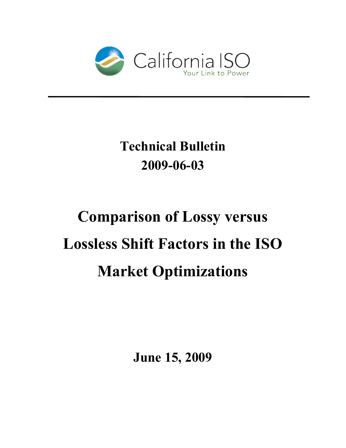

## **Technical Bulletin 2009-06-03**

# **Comparison of Lossy versus Lossless Shift Factors in the ISO Market Optimizations**

**June 15, 2009**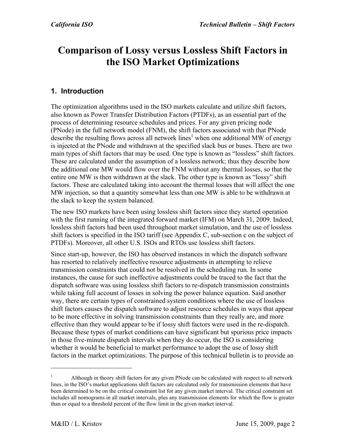### **Comparison of Lossy versus Lossless Shift Factors in the ISO Market Optimizations**

#### **1. Introduction**

The optimization algorithms used in the ISO markets calculate and utilize shift factors, also known as Power Transfer Distribution Factors (PTDFs), as an essential part of the process of determining resource schedules and prices. For any given pricing node (PNode) in the full network model (FNM), the shift factors associated with that PNode describe the resulting flows across all network lines<sup>1</sup> when one additional MW of energy is injected at the PNode and withdrawn at the specified slack bus or buses. There are two main types of shift factors that may be used. One type is known as "lossless" shift factors. These are calculated under the assumption of a lossless network; thus they describe how the additional one MW would flow over the FNM without any thermal losses, so that the entire one MW is then withdrawn at the slack. The other type is known as "lossy" shift factors. These are calculated taking into account the thermal losses that will affect the one MW injection, so that a quantity somewhat less than one MW is able to be withdrawn at the slack to keep the system balanced.

The new ISO markets have been using lossless shift factors since they started operation with the first running of the integrated forward market (IFM) on March 31, 2009. Indeed, lossless shift factors had been used throughout market simulation, and the use of lossless shift factors is specified in the ISO tariff (see Appendix C, sub-section c on the subject of PTDFs). Moreover, all other U.S. ISOs and RTOs use lossless shift factors.

Since start-up, however, the ISO has observed instances in which the dispatch software has resorted to relatively ineffective resource adjustments in attempting to relieve transmission constraints that could not be resolved in the scheduling run. In some instances, the cause for such ineffective adjustments could be traced to the fact that the dispatch software was using lossless shift factors to re-dispatch transmission constraints while taking full account of losses in solving the power balance equation. Said another way, there are certain types of constrained system conditions where the use of lossless shift factors causes the dispatch software to adjust resource schedules in ways that appear to be more effective in solving transmission constraints than they really are, and more effective than they would appear to be if lossy shift factors were used in the re-dispatch. Because these types of market conditions can have significant but spurious price impacts in those five-minute dispatch intervals when they do occur, the ISO is considering whether it would be beneficial to market performance to adopt the use of lossy shift factors in the market optimizations. The purpose of this technical bulletin is to provide an

<sup>&</sup>lt;sup>1</sup> Although in theory shift factors for any given PNode can be calculated with respect to all network lines, in the ISO's market applications shift factors are calculated only for transmission elements that have been determined to be on the critical constraint list for any given market interval. The critical constraint set includes all nomograms in all market intervals, plus any transmission elements for which the flow is greater than or equal to a threshold percent of the flow limit in the given market interval.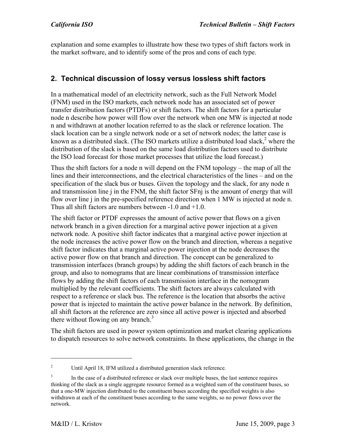explanation and some examples to illustrate how these two types of shift factors work in the market software, and to identify some of the pros and cons of each type.

#### **2. Technical discussion of lossy versus lossless shift factors**

In a mathematical model of an electricity network, such as the Full Network Model (FNM) used in the ISO markets, each network node has an associated set of power transfer distribution factors (PTDFs) or shift factors. The shift factors for a particular node n describe how power will flow over the network when one MW is injected at node n and withdrawn at another location referred to as the slack or reference location. The slack location can be a single network node or a set of network nodes; the latter case is known as a distributed slack. (The ISO markets utilize a distributed load slack,  $2$  where the distribution of the slack is based on the same load distribution factors used to distribute the ISO load forecast for those market processes that utilize the load forecast.)

Thus the shift factors for a node n will depend on the FNM topology – the map of all the lines and their interconnections, and the electrical characteristics of the lines – and on the specification of the slack bus or buses. Given the topology and the slack, for any node n and transmission line j in the FNM, the shift factor SFnj is the amount of energy that will flow over line j in the pre-specified reference direction when 1 MW is injected at node n. Thus all shift factors are numbers between -1.0 and +1.0.

The shift factor or PTDF expresses the amount of active power that flows on a given network branch in a given direction for a marginal active power injection at a given network node. A positive shift factor indicates that a marginal active power injection at the node increases the active power flow on the branch and direction, whereas a negative shift factor indicates that a marginal active power injection at the node decreases the active power flow on that branch and direction. The concept can be generalized to transmission interfaces (branch groups) by adding the shift factors of each branch in the group, and also to nomograms that are linear combinations of transmission interface flows by adding the shift factors of each transmission interface in the nomogram multiplied by the relevant coefficients. The shift factors are always calculated with respect to a reference or slack bus. The reference is the location that absorbs the active power that is injected to maintain the active power balance in the network. By definition, all shift factors at the reference are zero since all active power is injected and absorbed there without flowing on any branch. $3$ 

The shift factors are used in power system optimization and market clearing applications to dispatch resources to solve network constraints. In these applications, the change in the

<sup>&</sup>lt;sup>2</sup> Until April 18, IFM utilized a distributed generation slack reference.

<sup>&</sup>lt;sup>3</sup> In the case of a distributed reference or slack over multiple buses, the last sentence requires thinking of the slack as a single aggregate resource formed as a weighted sum of the constituent buses, so that a one-MW injection distributed to the constituent buses according the specified weights is also withdrawn at each of the constituent buses according to the same weights, so no power flows over the network.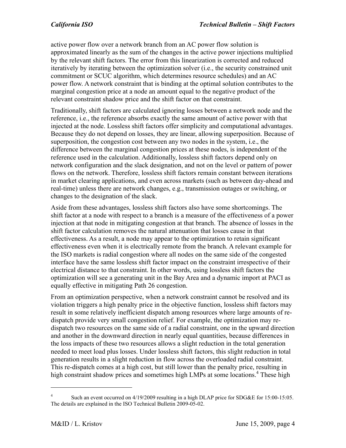active power flow over a network branch from an AC power flow solution is approximated linearly as the sum of the changes in the active power injections multiplied by the relevant shift factors. The error from this linearization is corrected and reduced iteratively by iterating between the optimization solver (i.e., the security constrained unit commitment or SCUC algorithm, which determines resource schedules) and an AC power flow. A network constraint that is binding at the optimal solution contributes to the marginal congestion price at a node an amount equal to the negative product of the relevant constraint shadow price and the shift factor on that constraint.

Traditionally, shift factors are calculated ignoring losses between a network node and the reference, i.e., the reference absorbs exactly the same amount of active power with that injected at the node. Lossless shift factors offer simplicity and computational advantages. Because they do not depend on losses, they are linear, allowing superposition. Because of superposition, the congestion cost between any two nodes in the system, i.e., the difference between the marginal congestion prices at these nodes, is independent of the reference used in the calculation. Additionally, lossless shift factors depend only on network configuration and the slack designation, and not on the level or pattern of power flows on the network. Therefore, lossless shift factors remain constant between iterations in market clearing applications, and even across markets (such as between day-ahead and real-time) unless there are network changes, e.g., transmission outages or switching, or changes to the designation of the slack.

Aside from these advantages, lossless shift factors also have some shortcomings. The shift factor at a node with respect to a branch is a measure of the effectiveness of a power injection at that node in mitigating congestion at that branch. The absence of losses in the shift factor calculation removes the natural attenuation that losses cause in that effectiveness. As a result, a node may appear to the optimization to retain significant effectiveness even when it is electrically remote from the branch. A relevant example for the ISO markets is radial congestion where all nodes on the same side of the congested interface have the same lossless shift factor impact on the constraint irrespective of their electrical distance to that constraint. In other words, using lossless shift factors the optimization will see a generating unit in the Bay Area and a dynamic import at PACI as equally effective in mitigating Path 26 congestion.

From an optimization perspective, when a network constraint cannot be resolved and its violation triggers a high penalty price in the objective function, lossless shift factors may result in some relatively inefficient dispatch among resources where large amounts of redispatch provide very small congestion relief. For example, the optimization may redispatch two resources on the same side of a radial constraint, one in the upward direction and another in the downward direction in nearly equal quantities, because differences in the loss impacts of these two resources allows a slight reduction in the total generation needed to meet load plus losses. Under lossless shift factors, this slight reduction in total generation results in a slight reduction in flow across the overloaded radial constraint. This re-dispatch comes at a high cost, but still lower than the penalty price, resulting in high constraint shadow prices and sometimes high LMPs at some locations.<sup>4</sup> These high

<sup>&</sup>lt;sup>4</sup> Such an event occurred on 4/19/2009 resulting in a high DLAP price for SDG&E for 15:00-15:05. The details are explained in the ISO Technical Bulletin 2009-05-02.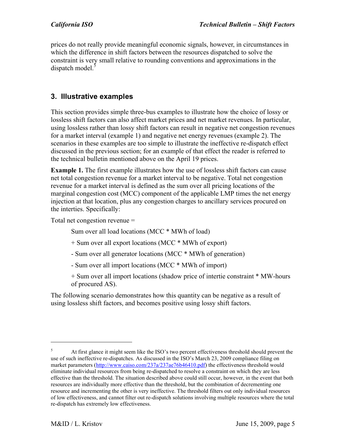prices do not really provide meaningful economic signals, however, in circumstances in which the difference in shift factors between the resources dispatched to solve the constraint is very small relative to rounding conventions and approximations in the dispatch model.<sup>5</sup>

#### **3. Illustrative examples**

This section provides simple three-bus examples to illustrate how the choice of lossy or lossless shift factors can also affect market prices and net market revenues. In particular, using lossless rather than lossy shift factors can result in negative net congestion revenues for a market interval (example 1) and negative net energy revenues (example 2). The scenarios in these examples are too simple to illustrate the ineffective re-dispatch effect discussed in the previous section; for an example of that effect the reader is referred to the technical bulletin mentioned above on the April 19 prices.

**Example 1.** The first example illustrates how the use of lossless shift factors can cause net total congestion revenue for a market interval to be negative. Total net congestion revenue for a market interval is defined as the sum over all pricing locations of the marginal congestion cost (MCC) component of the applicable LMP times the net energy injection at that location, plus any congestion charges to ancillary services procured on the interties. Specifically:

Total net congestion revenue =

Sum over all load locations (MCC \* MWh of load)

- + Sum over all export locations (MCC \* MWh of export)
- Sum over all generator locations (MCC \* MWh of generation)
- Sum over all import locations (MCC \* MWh of import)

+ Sum over all import locations (shadow price of intertie constraint \* MW-hours of procured AS).

The following scenario demonstrates how this quantity can be negative as a result of using lossless shift factors, and becomes positive using lossy shift factors.

1

<sup>&</sup>lt;sup>5</sup> At first glance it might seem like the ISO's two percent effectiveness threshold should prevent the use of such ineffective re-dispatches. As discussed in the ISO's March 23, 2009 compliance filing on market parameters (http://www.caiso.com/237a/237ae76b46410.pdf) the effectiveness threshold would eliminate individual resources from being re-dispatched to resolve a constraint on which they are less effective than the threshold. The situation described above could still occur, however, in the event that both resources are individually more effective than the threshold, but the combination of decrementing one resource and incrementing the other is very ineffective. The threshold filters out only individual resources of low effectiveness, and cannot filter out re-dispatch solutions involving multiple resources where the total re-dispatch has extremely low effectiveness.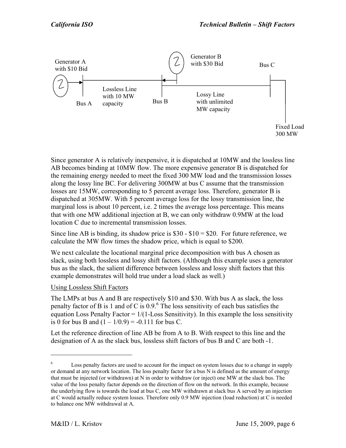

Since generator A is relatively inexpensive, it is dispatched at 10MW and the lossless line AB becomes binding at 10MW flow. The more expensive generator B is dispatched for the remaining energy needed to meet the fixed 300 MW load and the transmission losses along the lossy line BC. For delivering 300MW at bus C assume that the transmission losses are 15MW, corresponding to 5 percent average loss. Therefore, generator B is dispatched at 305MW. With 5 percent average loss for the lossy transmission line, the marginal loss is about 10 percent, i.e. 2 times the average loss percentage. This means that with one MW additional injection at B, we can only withdraw 0.9MW at the load location C due to incremental transmission losses.

Since line AB is binding, its shadow price is  $$30 - $10 = $20$ . For future reference, we calculate the MW flow times the shadow price, which is equal to \$200.

We next calculate the locational marginal price decomposition with bus A chosen as slack, using both lossless and lossy shift factors. (Although this example uses a generator bus as the slack, the salient difference between lossless and lossy shift factors that this example demonstrates will hold true under a load slack as well.)

#### Using Lossless Shift Factors

The LMPs at bus A and B are respectively \$10 and \$30. With bus A as slack, the loss penalty factor of B is 1 and of C is  $0.9$ .<sup>6</sup> The loss sensitivity of each bus satisfies the equation Loss Penalty Factor =  $1/(1$ -Loss Sensitivity). In this example the loss sensitivity is 0 for bus B and  $(1 - 1/0.9) = -0.111$  for bus C.

Let the reference direction of line AB be from A to B. With respect to this line and the designation of A as the slack bus, lossless shift factors of bus B and C are both -1.

<sup>&</sup>lt;sup>6</sup> Loss penalty factors are used to account for the impact on system losses due to a change in supply or demand at any network location. The loss penalty factor for a bus N is defined as the amount of energy that must be injected (or withdrawn) at N in order to withdraw (or inject) one MW at the slack bus. The value of the loss penalty factor depends on the direction of flow on the network. In this example, because the underlying flow is towards the load at bus C, one MW withdrawn at slack bus A served by an injection at C would actually reduce system losses. Therefore only 0.9 MW injection (load reduction) at C is needed to balance one MW withdrawal at A.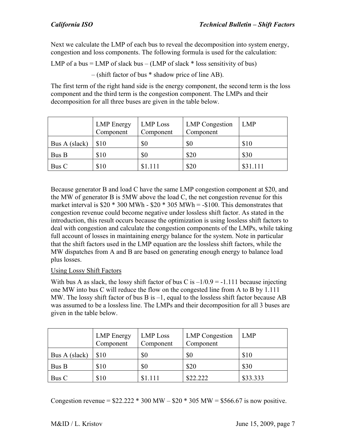Next we calculate the LMP of each bus to reveal the decomposition into system energy, congestion and loss components. The following formula is used for the calculation:

LMP of a bus  $=$  LMP of slack bus  $-$  (LMP of slack  $*$  loss sensitivity of bus)

– (shift factor of bus \* shadow price of line AB).

The first term of the right hand side is the energy component, the second term is the loss component and the third term is the congestion component. The LMPs and their decomposition for all three buses are given in the table below.

|               | <b>LMP</b> Energy<br>Component | <b>LMP</b> Loss<br>Component | <b>LMP</b> Congestion<br>Component | <b>LMP</b> |
|---------------|--------------------------------|------------------------------|------------------------------------|------------|
| Bus A (slack) | \$10                           | \$0                          | \$0                                | \$10       |
| Bus B         | \$10                           | \$0                          | \$20                               | \$30       |
| Bus C         | \$10                           | \$1.111                      | \$20                               | \$31.111   |

Because generator B and load C have the same LMP congestion component at \$20, and the MW of generator B is 5MW above the load C, the net congestion revenue for this market interval is  $$20 * 300$  MWh -  $$20 * 305$  MWh = - $$100$ . This demonstrates that congestion revenue could become negative under lossless shift factor. As stated in the introduction, this result occurs because the optimization is using lossless shift factors to deal with congestion and calculate the congestion components of the LMPs, while taking full account of losses in maintaining energy balance for the system. Note in particular that the shift factors used in the LMP equation are the lossless shift factors, while the MW dispatches from A and B are based on generating enough energy to balance load plus losses.

#### Using Lossy Shift Factors

With bus A as slack, the lossy shift factor of bus C is  $-1/0.9 = -1.111$  because injecting one MW into bus C will reduce the flow on the congested line from A to B by 1.111 MW. The lossy shift factor of bus B is  $-1$ , equal to the lossless shift factor because AB was assumed to be a lossless line. The LMPs and their decomposition for all 3 buses are given in the table below.

|               | <b>LMP</b> Energy<br>Component | LMP Loss<br>Component | <b>LMP</b> Congestion<br>Component | LMP      |
|---------------|--------------------------------|-----------------------|------------------------------------|----------|
| Bus A (slack) | \$10                           | \$0                   | \$0                                | \$10     |
| Bus B         | \$10                           | \$0                   | \$20                               | \$30     |
| Bus C         | \$10                           | \$1.111               | \$22,222                           | \$33.333 |

Congestion revenue =  $$22.222 * 300 MW - $20 * 305 MW = $566.67$  is now positive.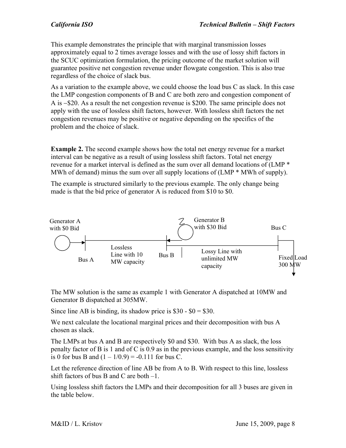This example demonstrates the principle that with marginal transmission losses approximately equal to 2 times average losses and with the use of lossy shift factors in the SCUC optimization formulation, the pricing outcome of the market solution will guarantee positive net congestion revenue under flowgate congestion. This is also true regardless of the choice of slack bus.

As a variation to the example above, we could choose the load bus C as slack. In this case the LMP congestion components of B and C are both zero and congestion component of A is  $-$ \$20. As a result the net congestion revenue is \$200. The same principle does not apply with the use of lossless shift factors, however. With lossless shift factors the net congestion revenues may be positive or negative depending on the specifics of the problem and the choice of slack.

**Example 2.** The second example shows how the total net energy revenue for a market interval can be negative as a result of using lossless shift factors. Total net energy revenue for a market interval is defined as the sum over all demand locations of (LMP \* MWh of demand) minus the sum over all supply locations of (LMP  $*$  MWh of supply).

The example is structured similarly to the previous example. The only change being made is that the bid price of generator A is reduced from \$10 to \$0.



The MW solution is the same as example 1 with Generator A dispatched at 10MW and Generator B dispatched at 305MW.

Since line AB is binding, its shadow price is  $$30 - $0 = $30$ .

We next calculate the locational marginal prices and their decomposition with bus A chosen as slack.

The LMPs at bus A and B are respectively \$0 and \$30. With bus A as slack, the loss penalty factor of B is 1 and of C is 0.9 as in the previous example, and the loss sensitivity is 0 for bus B and  $(1 - 1/0.9) = -0.111$  for bus C.

Let the reference direction of line AB be from A to B. With respect to this line, lossless shift factors of bus B and C are both –1.

Using lossless shift factors the LMPs and their decomposition for all 3 buses are given in the table below.